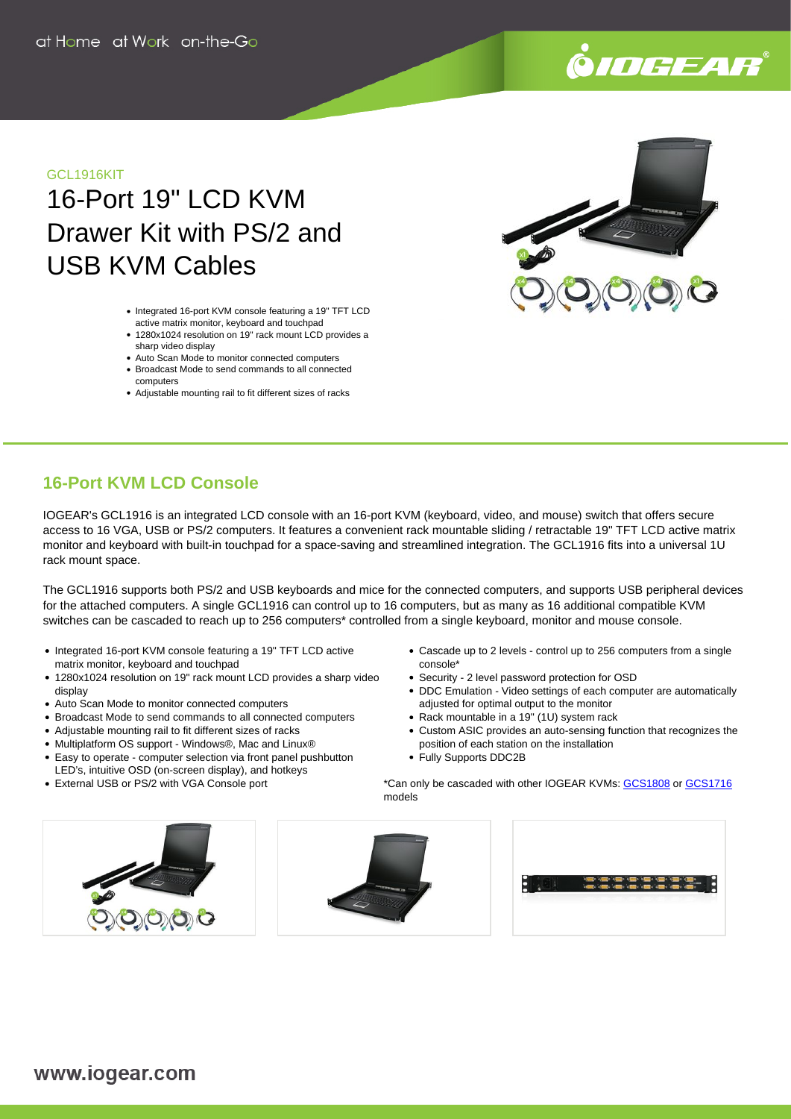# .<br>9*10GEAR*

## GCL1916KIT

# 16-Port 19" LCD KVM Drawer Kit with PS/2 and USB KVM Cables

- Integrated 16-port KVM console featuring a 19" TFT LCD active matrix monitor, keyboard and touchpad
- 1280x1024 resolution on 19" rack mount LCD provides a sharp video display
- Auto Scan Mode to monitor connected computers
- Broadcast Mode to send commands to all connected computers
- Adjustable mounting rail to fit different sizes of racks



# **16-Port KVM LCD Console**

IOGEAR's GCL1916 is an integrated LCD console with an 16-port KVM (keyboard, video, and mouse) switch that offers secure access to 16 VGA, USB or PS/2 computers. It features a convenient rack mountable sliding / retractable 19" TFT LCD active matrix monitor and keyboard with built-in touchpad for a space-saving and streamlined integration. The GCL1916 fits into a universal 1U rack mount space.

The GCL1916 supports both PS/2 and USB keyboards and mice for the connected computers, and supports USB peripheral devices for the attached computers. A single GCL1916 can control up to 16 computers, but as many as 16 additional compatible KVM switches can be cascaded to reach up to 256 computers\* controlled from a single keyboard, monitor and mouse console.

- Integrated 16-port KVM console featuring a 19" TFT LCD active matrix monitor, keyboard and touchpad
- 1280x1024 resolution on 19" rack mount LCD provides a sharp video display
- Auto Scan Mode to monitor connected computers
- Broadcast Mode to send commands to all connected computers
- Adjustable mounting rail to fit different sizes of racks
- Multiplatform OS support Windows®, Mac and Linux®
- Easy to operate computer selection via front panel pushbutton LED's, intuitive OSD (on-screen display), and hotkeys
- External USB or PS/2 with VGA Console port
- Cascade up to 2 levels control up to 256 computers from a single console
- Security 2 level password protection for OSD
- DDC Emulation Video settings of each computer are automatically adjusted for optimal output to the monitor
- Rack mountable in a 19" (1U) system rack
- Custom ASIC provides an auto-sensing function that recognizes the position of each station on the installation
- Fully Supports DDC2B

\*Can only be cascaded with other IOGEAR KVMs: [GCS1808](http://www.iogear.com/product/GCS1808/) or [GCS1716](http://www.iogear.com/product/GCS1716/) models